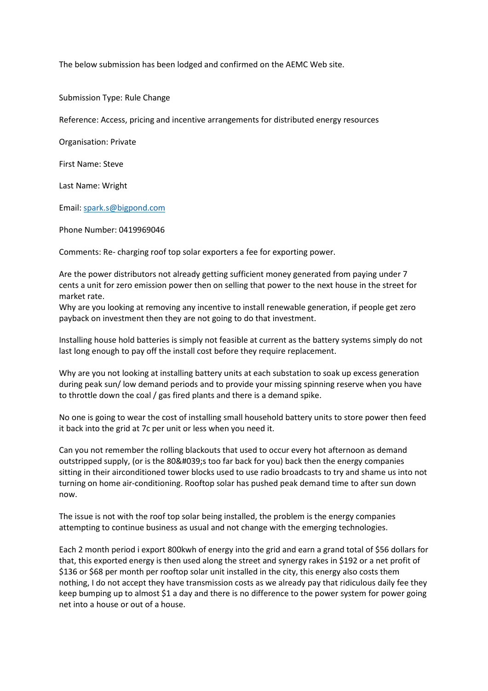The below submission has been lodged and confirmed on the AEMC Web site.

Submission Type: Rule Change

Reference: Access, pricing and incentive arrangements for distributed energy resources

Organisation: Private

First Name: Steve

Last Name: Wright

Email: [spark.s@bigpond.com](mailto:spark.s@bigpond.com)

Phone Number: 0419969046

Comments: Re- charging roof top solar exporters a fee for exporting power.

Are the power distributors not already getting sufficient money generated from paying under 7 cents a unit for zero emission power then on selling that power to the next house in the street for market rate.

Why are you looking at removing any incentive to install renewable generation, if people get zero payback on investment then they are not going to do that investment.

Installing house hold batteries is simply not feasible at current as the battery systems simply do not last long enough to pay off the install cost before they require replacement.

Why are you not looking at installing battery units at each substation to soak up excess generation during peak sun/ low demand periods and to provide your missing spinning reserve when you have to throttle down the coal / gas fired plants and there is a demand spike.

No one is going to wear the cost of installing small household battery units to store power then feed it back into the grid at 7c per unit or less when you need it.

Can you not remember the rolling blackouts that used to occur every hot afternoon as demand outstripped supply, (or is the 80's too far back for you) back then the energy companies sitting in their airconditioned tower blocks used to use radio broadcasts to try and shame us into not turning on home air-conditioning. Rooftop solar has pushed peak demand time to after sun down now.

The issue is not with the roof top solar being installed, the problem is the energy companies attempting to continue business as usual and not change with the emerging technologies.

Each 2 month period i export 800kwh of energy into the grid and earn a grand total of \$56 dollars for that, this exported energy is then used along the street and synergy rakes in \$192 or a net profit of \$136 or \$68 per month per rooftop solar unit installed in the city, this energy also costs them nothing, I do not accept they have transmission costs as we already pay that ridiculous daily fee they keep bumping up to almost \$1 a day and there is no difference to the power system for power going net into a house or out of a house.